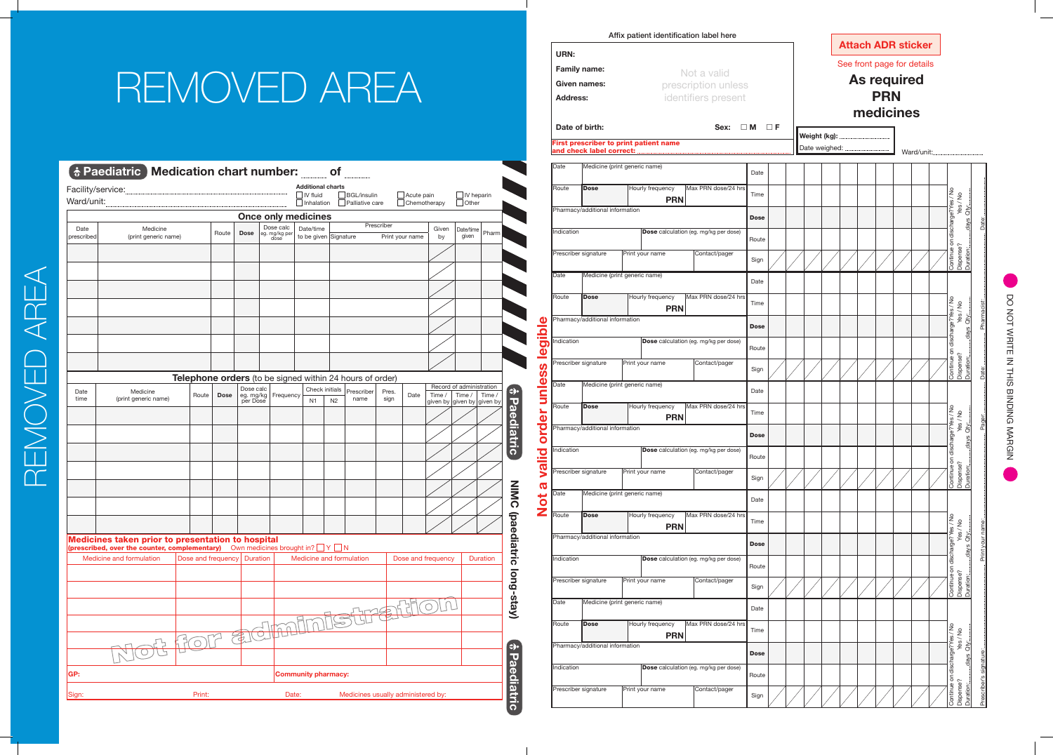|                |                                 |                                        |                                              |             |          |  |  |  | IIIEUICIIIES |            |  |  |  |  |
|----------------|---------------------------------|----------------------------------------|----------------------------------------------|-------------|----------|--|--|--|--------------|------------|--|--|--|--|
| Date of birth: |                                 | First prescriber to print patient name | Sex:                                         | $\square$ M | $\Box$ F |  |  |  |              |            |  |  |  |  |
|                |                                 |                                        |                                              |             |          |  |  |  |              | Ward/unit: |  |  |  |  |
| Date           | Medicine (print generic name)   |                                        |                                              | Date        |          |  |  |  |              |            |  |  |  |  |
| Route          | Dose                            | Hourly frequency<br><b>PRN</b>         | Max PRN dose/24 hrs                          | Time        |          |  |  |  |              |            |  |  |  |  |
|                | Pharmacy/additional information |                                        |                                              | <b>Dose</b> |          |  |  |  |              |            |  |  |  |  |
|                |                                 |                                        |                                              |             |          |  |  |  |              |            |  |  |  |  |
| Indication     |                                 |                                        | <b>Dose</b> calculation (eg. mg/kg per dose) | Route       |          |  |  |  |              |            |  |  |  |  |
|                | Prescriber signature            | Print your name                        | Contact/pager                                | Sign        |          |  |  |  |              |            |  |  |  |  |
| Date           | Medicine (print generic name)   |                                        |                                              | Date        |          |  |  |  |              |            |  |  |  |  |
| Route          | <b>Dose</b>                     | Hourly frequency                       | Max PRN dose/24 hrs                          | Time        |          |  |  |  |              |            |  |  |  |  |
|                | Pharmacy/additional information | <b>PRN</b>                             |                                              |             |          |  |  |  |              |            |  |  |  |  |
|                |                                 |                                        |                                              | <b>Dose</b> |          |  |  |  |              |            |  |  |  |  |
| Indication     |                                 |                                        | Dose calculation (eg. mg/kg per dose)        | Route       |          |  |  |  |              |            |  |  |  |  |
|                | Prescriber signature            | Print your name                        | Contact/pager                                | Sign        |          |  |  |  |              |            |  |  |  |  |
| Date           | Medicine (print generic name)   |                                        |                                              | Date        |          |  |  |  |              |            |  |  |  |  |
| Route          | <b>Dose</b>                     | Hourly frequency                       | Max PRN dose/24 hrs                          | Time        |          |  |  |  |              |            |  |  |  |  |
|                | Pharmacy/additional information | <b>PRN</b>                             |                                              |             |          |  |  |  |              |            |  |  |  |  |
| Indication     |                                 |                                        | Dose calculation (eg. mg/kg per dose)        | <b>Dose</b> |          |  |  |  |              |            |  |  |  |  |
|                |                                 |                                        |                                              | Route       |          |  |  |  |              |            |  |  |  |  |
|                | Prescriber signature            | Print your name                        | Contact/pager                                | Sign        |          |  |  |  |              |            |  |  |  |  |
| Date           | Medicine (print generic name)   |                                        |                                              | Date        |          |  |  |  |              |            |  |  |  |  |
| Route          | <b>Dose</b>                     | Hourly frequency<br><b>PRN</b>         | Max PRN dose/24 hrs                          | Time        |          |  |  |  |              |            |  |  |  |  |
|                | Pharmacy/additional information |                                        |                                              | <b>Dose</b> |          |  |  |  |              |            |  |  |  |  |
| Indication     |                                 |                                        | <b>Dose</b> calculation (eq. mq/kq per dose) | Route       |          |  |  |  |              |            |  |  |  |  |
|                | Prescriber signature            | Print your name                        | Contact/pager                                |             |          |  |  |  |              |            |  |  |  |  |
| Date           | Medicine (print generic name)   |                                        |                                              | Sign        |          |  |  |  |              |            |  |  |  |  |
|                |                                 |                                        |                                              | Date        |          |  |  |  |              |            |  |  |  |  |
| Route          | <b>Dose</b>                     | Hourly frequency<br><b>PRN</b>         | Max PRN dose/24 hrs                          | Time        |          |  |  |  |              |            |  |  |  |  |
|                | Pharmacy/additional information |                                        |                                              | <b>Dose</b> |          |  |  |  |              |            |  |  |  |  |
| Indication     |                                 |                                        | Dose calculation (eg. mg/kg per dose)        | Route       |          |  |  |  |              |            |  |  |  |  |
|                | Prescriber signature            | Print your name                        | Contact/pager                                |             |          |  |  |  |              |            |  |  |  |  |
|                |                                 |                                        |                                              | Sign        |          |  |  |  |              |            |  |  |  |  |

DO NOT WRITE IN THIS BINDING MARGIN DO NOT WRITE IN THIS BINDING MARGIN

REMOVED AREA REMOVED AREA



**URN:**

 $\blacksquare$ 

**Family name: Given names: Address:**

Not a valid prescription unless identifiers present

Affix patient identification label here

| REMOVED AREA |  |  |  |  |  |
|--------------|--|--|--|--|--|
|--------------|--|--|--|--|--|

|                    | Facility/service:                                                                                                                  |                    |             |                             |                                                          | <b>Additional charts</b><br>$\blacksquare$ IV fluid |                | $\Box$ BGL/insulin     |            | $\Box$ Acute pain   |             | $\Box$ IV heparin                  |                 |
|--------------------|------------------------------------------------------------------------------------------------------------------------------------|--------------------|-------------|-----------------------------|----------------------------------------------------------|-----------------------------------------------------|----------------|------------------------|------------|---------------------|-------------|------------------------------------|-----------------|
|                    |                                                                                                                                    |                    |             |                             |                                                          | $\Box$ Inhalation                                   |                | $\Box$ Palliative care |            | $\Box$ Chemotherapy |             | $\Box$ Other                       |                 |
|                    |                                                                                                                                    |                    |             |                             | <b>Once only medicines</b>                               |                                                     |                |                        |            |                     |             |                                    |                 |
| Date<br>prescribed | Medicine<br>(print generic name)                                                                                                   |                    | Route       | <b>Dose</b>                 | Dose calc<br>eg. mg/kg per<br>dose                       | Date/time<br>to be given Signature                  |                |                        | Prescriber | Print your name     | Given<br>by | Date/time<br>given                 | Pharm           |
|                    |                                                                                                                                    |                    |             |                             |                                                          |                                                     |                |                        |            |                     |             |                                    |                 |
|                    |                                                                                                                                    |                    |             |                             |                                                          |                                                     |                |                        |            |                     |             |                                    |                 |
|                    |                                                                                                                                    |                    |             |                             |                                                          |                                                     |                |                        |            |                     |             |                                    |                 |
|                    |                                                                                                                                    |                    |             |                             |                                                          |                                                     |                |                        |            |                     |             |                                    |                 |
|                    |                                                                                                                                    |                    |             |                             |                                                          |                                                     |                |                        |            |                     |             |                                    |                 |
|                    |                                                                                                                                    |                    |             |                             |                                                          |                                                     |                |                        |            |                     |             |                                    |                 |
|                    |                                                                                                                                    |                    |             |                             |                                                          |                                                     |                |                        |            |                     |             |                                    |                 |
|                    |                                                                                                                                    |                    |             |                             |                                                          |                                                     |                |                        |            |                     |             |                                    |                 |
|                    |                                                                                                                                    |                    |             |                             | Telephone orders (to be signed within 24 hours of order) |                                                     |                |                        |            |                     |             |                                    |                 |
| Date               | Medicine                                                                                                                           | Route              | <b>Dose</b> | Dose calc<br>eg. mg/kg      | Frequency                                                | Check initials                                      |                | Prescriber             | Pres.      | Date                | Time /      | Record of administration<br>Time / | Time /          |
| time               | (print generic name)                                                                                                               |                    |             | per Dose                    |                                                          | N <sub>1</sub>                                      | N <sub>2</sub> | name                   | sign       |                     |             | given by given by given by         |                 |
|                    |                                                                                                                                    |                    |             |                             |                                                          |                                                     |                |                        |            |                     |             |                                    |                 |
|                    |                                                                                                                                    |                    |             |                             |                                                          |                                                     |                |                        |            |                     |             |                                    |                 |
|                    |                                                                                                                                    |                    |             |                             |                                                          |                                                     |                |                        |            |                     |             |                                    |                 |
|                    |                                                                                                                                    |                    |             |                             |                                                          |                                                     |                |                        |            |                     |             |                                    |                 |
|                    |                                                                                                                                    |                    |             |                             |                                                          |                                                     |                |                        |            |                     |             |                                    |                 |
|                    |                                                                                                                                    |                    |             |                             |                                                          |                                                     |                |                        |            |                     |             |                                    |                 |
|                    |                                                                                                                                    |                    |             |                             |                                                          |                                                     |                |                        |            |                     |             |                                    |                 |
|                    |                                                                                                                                    |                    |             |                             |                                                          |                                                     |                |                        |            |                     |             |                                    |                 |
|                    | Medicines taken prior to presentation to hospital<br>(prescribed, over the counter, complementary) Own medicines brought in? V V N |                    |             |                             |                                                          |                                                     |                |                        |            |                     |             |                                    |                 |
|                    | Medicine and formulation                                                                                                           | Dose and frequency |             | <b>Duration</b>             |                                                          | Medicine and formulation                            |                |                        |            | Dose and frequency  |             |                                    | <b>Duration</b> |
|                    |                                                                                                                                    |                    |             |                             |                                                          |                                                     |                |                        |            |                     |             |                                    |                 |
|                    |                                                                                                                                    |                    |             |                             |                                                          |                                                     |                |                        |            |                     |             |                                    |                 |
|                    |                                                                                                                                    |                    |             |                             |                                                          |                                                     |                |                        |            |                     |             |                                    |                 |
|                    |                                                                                                                                    |                    |             |                             | $\bigcap_{i=1}^r$                                        |                                                     |                |                        |            |                     |             |                                    |                 |
|                    |                                                                                                                                    | HOL                |             | $\mathcal{F}_{\mathcal{F}}$ | $\sqrt{d}$                                               |                                                     |                |                        |            |                     |             |                                    |                 |
|                    |                                                                                                                                    |                    |             |                             |                                                          |                                                     |                |                        |            |                     |             |                                    |                 |
| GP:                |                                                                                                                                    |                    |             |                             |                                                          | <b>Community pharmacy:</b>                          |                |                        |            |                     |             |                                    |                 |
|                    |                                                                                                                                    |                    |             |                             |                                                          |                                                     |                |                        |            |                     |             |                                    |                 |